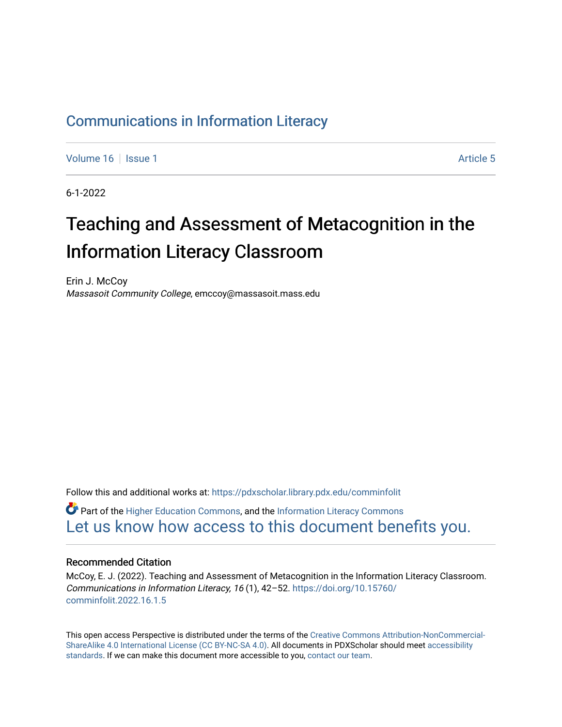#### [Communications in Information Literacy](https://pdxscholar.library.pdx.edu/comminfolit)

[Volume 16](https://pdxscholar.library.pdx.edu/comminfolit/vol16) September 19 | [Issue 1](https://pdxscholar.library.pdx.edu/comminfolit/vol16/iss1) Article 5

6-1-2022

# Teaching and Assessment of Metacognition in the Information Literacy Classroom

Erin J. McCoy Massasoit Community College, emccoy@massasoit.mass.edu

Follow this and additional works at: [https://pdxscholar.library.pdx.edu/comminfolit](https://pdxscholar.library.pdx.edu/comminfolit?utm_source=pdxscholar.library.pdx.edu%2Fcomminfolit%2Fvol16%2Fiss1%2F5&utm_medium=PDF&utm_campaign=PDFCoverPages) 

 $\bullet$  Part of the [Higher Education Commons,](https://network.bepress.com/hgg/discipline/1245?utm_source=pdxscholar.library.pdx.edu%2Fcomminfolit%2Fvol16%2Fiss1%2F5&utm_medium=PDF&utm_campaign=PDFCoverPages) and the Information Literacy Commons [Let us know how access to this document benefits you.](http://library.pdx.edu/services/pdxscholar-services/pdxscholar-feedback/) 

#### Recommended Citation

McCoy, E. J. (2022). Teaching and Assessment of Metacognition in the Information Literacy Classroom. Communications in Information Literacy, 16 (1), 42–52. [https://doi.org/10.15760/](https://doi.org/10.15760/comminfolit.2022.16.1.5) [comminfolit.2022.16.1.5](https://doi.org/10.15760/comminfolit.2022.16.1.5)

This open access Perspective is distributed under the terms of the [Creative Commons Attribution-NonCommercial-](https://creativecommons.org/licenses/by-nc-sa/4.0/)[ShareAlike 4.0 International License \(CC BY-NC-SA 4.0\).](https://creativecommons.org/licenses/by-nc-sa/4.0/) All documents in PDXScholar should meet [accessibility](https://pdxscholar.library.pdx.edu/accessibility.html) [standards](https://pdxscholar.library.pdx.edu/accessibility.html). If we can make this document more accessible to you, [contact our team.](mailto:pdxscholar@pdx.edu)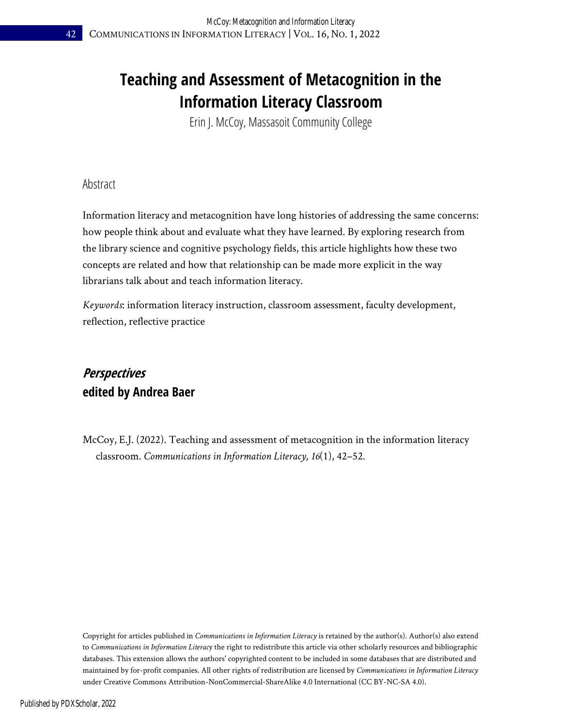### **Teaching and Assessment of Metacognition in the Information Literacy Classroom**

Erin J. McCoy, Massasoit Community College

Abstract

Information literacy and metacognition have long histories of addressing the same concerns: how people think about and evaluate what they have learned. By exploring research from the library science and cognitive psychology fields, this article highlights how these two concepts are related and how that relationship can be made more explicit in the way librarians talk about and teach information literacy.

*Keywords*: information literacy instruction, classroom assessment, faculty development, reflection, reflective practice

### **Perspectives edited by Andrea Baer**

McCoy, E.J. (2022). Teaching and assessment of metacognition in the information literacy classroom. *Communications in Information Literacy, 16*(1), 42–52.

Copyright for articles published in *Communications in Information Literacy* is retained by the author(s). Author(s) also extend to *Communications in Information Literac*y the right to redistribute this article via other scholarly resources and bibliographic databases. This extension allows the authors' copyrighted content to be included in some databases that are distributed and maintained by for-profit companies. All other rights of redistribution are licensed by *Communications in Information Literacy* under Creative Commons Attribution-NonCommercial-ShareAlike 4.0 International (CC BY-NC-SA 4.0).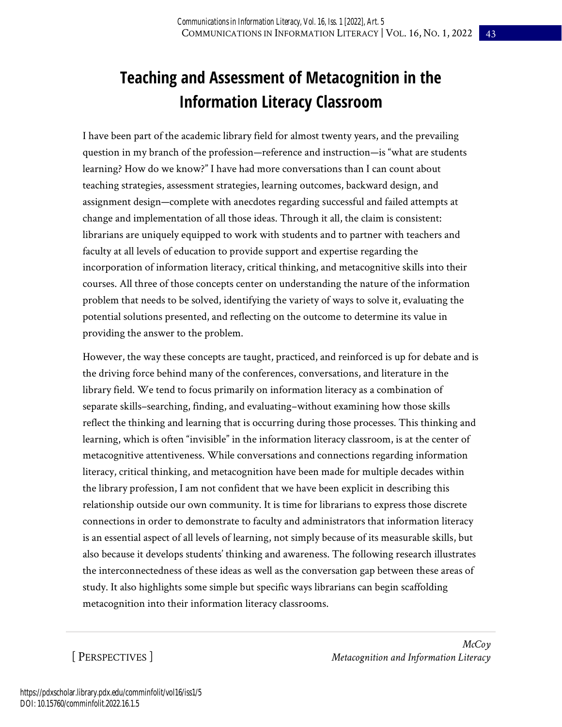## **Teaching and Assessment of Metacognition in the Information Literacy Classroom**

I have been part of the academic library field for almost twenty years, and the prevailing question in my branch of the profession—reference and instruction—is "what are students learning? How do we know?" I have had more conversations than I can count about teaching strategies, assessment strategies, learning outcomes, backward design, and assignment design—complete with anecdotes regarding successful and failed attempts at change and implementation of all those ideas. Through it all, the claim is consistent: librarians are uniquely equipped to work with students and to partner with teachers and faculty at all levels of education to provide support and expertise regarding the incorporation of information literacy, critical thinking, and metacognitive skills into their courses. All three of those concepts center on understanding the nature of the information problem that needs to be solved, identifying the variety of ways to solve it, evaluating the potential solutions presented, and reflecting on the outcome to determine its value in providing the answer to the problem.

However, the way these concepts are taught, practiced, and reinforced is up for debate and is the driving force behind many of the conferences, conversations, and literature in the library field. We tend to focus primarily on information literacy as a combination of separate skills–searching, finding, and evaluating–without examining how those skills reflect the thinking and learning that is occurring during those processes. This thinking and learning, which is often "invisible" in the information literacy classroom, is at the center of metacognitive attentiveness. While conversations and connections regarding information literacy, critical thinking, and metacognition have been made for multiple decades within the library profession, I am not confident that we have been explicit in describing this relationship outside our own community. It is time for librarians to express those discrete connections in order to demonstrate to faculty and administrators that information literacy is an essential aspect of all levels of learning, not simply because of its measurable skills, but also because it develops students' thinking and awareness. The following research illustrates the interconnectedness of these ideas as well as the conversation gap between these areas of study. It also highlights some simple but specific ways librarians can begin scaffolding metacognition into their information literacy classrooms.

[ PERSPECTIVES ]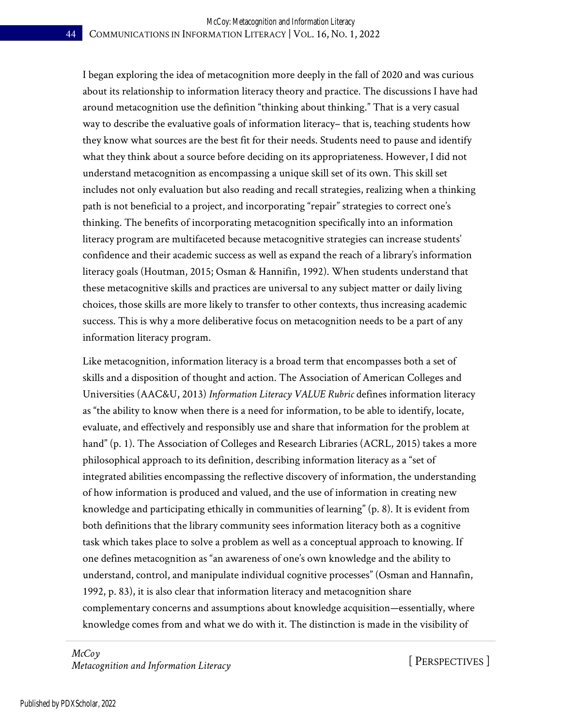I began exploring the idea of metacognition more deeply in the fall of 2020 and was curious about its relationship to information literacy theory and practice. The discussions I have had around metacognition use the definition "thinking about thinking." That is a very casual way to describe the evaluative goals of information literacy– that is, teaching students how they know what sources are the best fit for their needs. Students need to pause and identify what they think about a source before deciding on its appropriateness. However, I did not understand metacognition as encompassing a unique skill set of its own. This skill set includes not only evaluation but also reading and recall strategies, realizing when a thinking path is not beneficial to a project, and incorporating "repair" strategies to correct one's thinking. The benefits of incorporating metacognition specifically into an information literacy program are multifaceted because metacognitive strategies can increase students' confidence and their academic success as well as expand the reach of a library's information literacy goals (Houtman, 2015; Osman & Hannifin, 1992). When students understand that these metacognitive skills and practices are universal to any subject matter or daily living choices, those skills are more likely to transfer to other contexts, thus increasing academic success. This is why a more deliberative focus on metacognition needs to be a part of any information literacy program.

Like metacognition, information literacy is a broad term that encompasses both a set of skills and a disposition of thought and action. The Association of American Colleges and Universities (AAC&U, 2013) *Information Literacy VALUE Rubric* defines information literacy as "the ability to know when there is a need for information, to be able to identify, locate, evaluate, and effectively and responsibly use and share that information for the problem at hand" (p. 1). The Association of Colleges and Research Libraries (ACRL, 2015) takes a more philosophical approach to its definition, describing information literacy as a "set of integrated abilities encompassing the reflective discovery of information, the understanding of how information is produced and valued, and the use of information in creating new knowledge and participating ethically in communities of learning" (p. 8). It is evident from both definitions that the library community sees information literacy both as a cognitive task which takes place to solve a problem as well as a conceptual approach to knowing. If one defines metacognition as "an awareness of one's own knowledge and the ability to understand, control, and manipulate individual cognitive processes" (Osman and Hannafin, 1992, p. 83), it is also clear that information literacy and metacognition share complementary concerns and assumptions about knowledge acquisition—essentially, where knowledge comes from and what we do with it. The distinction is made in the visibility of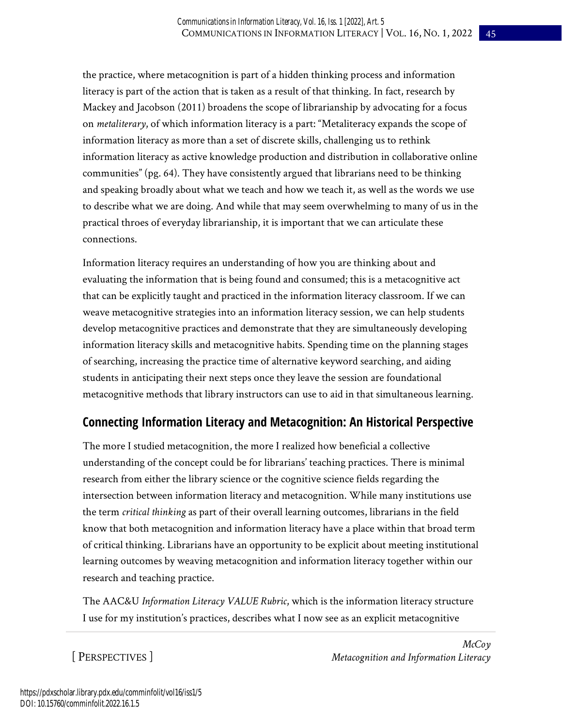the practice, where metacognition is part of a hidden thinking process and information literacy is part of the action that is taken as a result of that thinking. In fact, research by Mackey and Jacobson (2011) broadens the scope of librarianship by advocating for a focus on *metaliterary*, of which information literacy is a part: "Metaliteracy expands the scope of information literacy as more than a set of discrete skills, challenging us to rethink information literacy as active knowledge production and distribution in collaborative online communities" (pg. 64). They have consistently argued that librarians need to be thinking and speaking broadly about what we teach and how we teach it, as well as the words we use to describe what we are doing. And while that may seem overwhelming to many of us in the practical throes of everyday librarianship, it is important that we can articulate these connections.

Information literacy requires an understanding of how you are thinking about and evaluating the information that is being found and consumed; this is a metacognitive act that can be explicitly taught and practiced in the information literacy classroom. If we can weave metacognitive strategies into an information literacy session, we can help students develop metacognitive practices and demonstrate that they are simultaneously developing information literacy skills and metacognitive habits. Spending time on the planning stages of searching, increasing the practice time of alternative keyword searching, and aiding students in anticipating their next steps once they leave the session are foundational metacognitive methods that library instructors can use to aid in that simultaneous learning.

#### **Connecting Information Literacy and Metacognition: An Historical Perspective**

The more I studied metacognition, the more I realized how beneficial a collective understanding of the concept could be for librarians' teaching practices. There is minimal research from either the library science or the cognitive science fields regarding the intersection between information literacy and metacognition. While many institutions use the term *critical thinking* as part of their overall learning outcomes, librarians in the field know that both metacognition and information literacy have a place within that broad term of critical thinking. Librarians have an opportunity to be explicit about meeting institutional learning outcomes by weaving metacognition and information literacy together within our research and teaching practice.

The AAC&U *Information Literacy VALUE Rubric*, which is the information literacy structure I use for my institution's practices, describes what I now see as an explicit metacognitive

[ PERSPECTIVES ]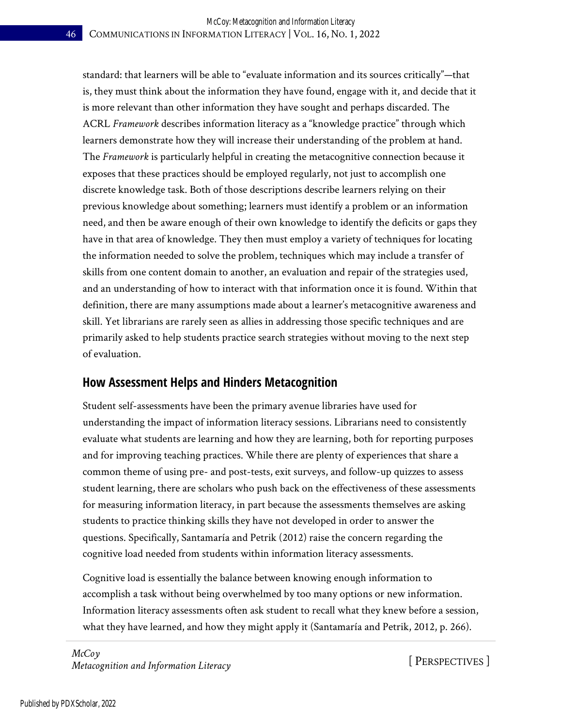standard: that learners will be able to "evaluate information and its sources critically"—that is, they must think about the information they have found, engage with it, and decide that it is more relevant than other information they have sought and perhaps discarded. The ACRL *Framework* describes information literacy as a "knowledge practice" through which learners demonstrate how they will increase their understanding of the problem at hand. The *Framework* is particularly helpful in creating the metacognitive connection because it exposes that these practices should be employed regularly, not just to accomplish one discrete knowledge task. Both of those descriptions describe learners relying on their previous knowledge about something; learners must identify a problem or an information need, and then be aware enough of their own knowledge to identify the deficits or gaps they have in that area of knowledge. They then must employ a variety of techniques for locating the information needed to solve the problem, techniques which may include a transfer of skills from one content domain to another, an evaluation and repair of the strategies used, and an understanding of how to interact with that information once it is found. Within that definition, there are many assumptions made about a learner's metacognitive awareness and skill. Yet librarians are rarely seen as allies in addressing those specific techniques and are primarily asked to help students practice search strategies without moving to the next step of evaluation.

#### **How Assessment Helps and Hinders Metacognition**

Student self-assessments have been the primary avenue libraries have used for understanding the impact of information literacy sessions. Librarians need to consistently evaluate what students are learning and how they are learning, both for reporting purposes and for improving teaching practices. While there are plenty of experiences that share a common theme of using pre- and post-tests, exit surveys, and follow-up quizzes to assess student learning, there are scholars who push back on the effectiveness of these assessments for measuring information literacy, in part because the assessments themselves are asking students to practice thinking skills they have not developed in order to answer the questions. Specifically, Santamaría and Petrik (2012) raise the concern regarding the cognitive load needed from students within information literacy assessments.

Cognitive load is essentially the balance between knowing enough information to accomplish a task without being overwhelmed by too many options or new information. Information literacy assessments often ask student to recall what they knew before a session, what they have learned, and how they might apply it (Santamaría and Petrik, 2012, p. 266).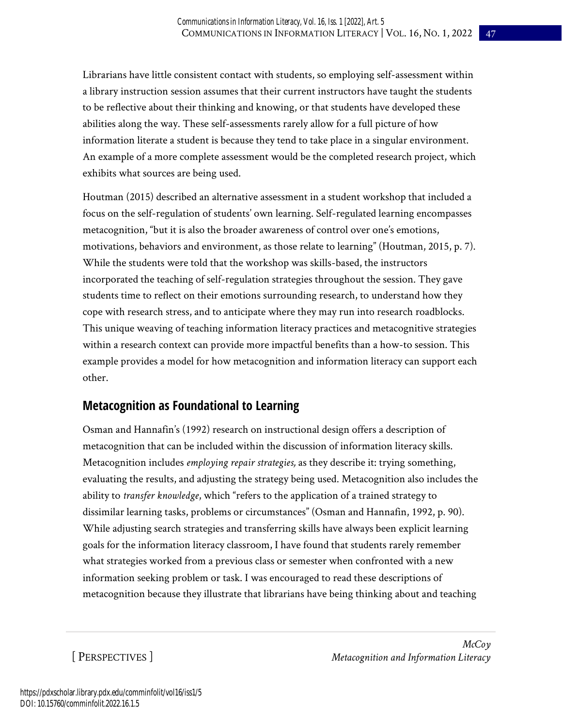Librarians have little consistent contact with students, so employing self-assessment within a library instruction session assumes that their current instructors have taught the students to be reflective about their thinking and knowing, or that students have developed these abilities along the way. These self-assessments rarely allow for a full picture of how information literate a student is because they tend to take place in a singular environment. An example of a more complete assessment would be the completed research project, which exhibits what sources are being used.

Houtman (2015) described an alternative assessment in a student workshop that included a focus on the self-regulation of students' own learning. Self-regulated learning encompasses metacognition, "but it is also the broader awareness of control over one's emotions, motivations, behaviors and environment, as those relate to learning" (Houtman, 2015, p. 7). While the students were told that the workshop was skills-based, the instructors incorporated the teaching of self-regulation strategies throughout the session. They gave students time to reflect on their emotions surrounding research, to understand how they cope with research stress, and to anticipate where they may run into research roadblocks. This unique weaving of teaching information literacy practices and metacognitive strategies within a research context can provide more impactful benefits than a how-to session. This example provides a model for how metacognition and information literacy can support each other.

#### **Metacognition as Foundational to Learning**

Osman and Hannafin's (1992) research on instructional design offers a description of metacognition that can be included within the discussion of information literacy skills. Metacognition includes *employing repair strategies,* as they describe it: trying something, evaluating the results, and adjusting the strategy being used. Metacognition also includes the ability to *transfer knowledge*, which "refers to the application of a trained strategy to dissimilar learning tasks, problems or circumstances" (Osman and Hannafin, 1992, p. 90). While adjusting search strategies and transferring skills have always been explicit learning goals for the information literacy classroom, I have found that students rarely remember what strategies worked from a previous class or semester when confronted with a new information seeking problem or task. I was encouraged to read these descriptions of metacognition because they illustrate that librarians have being thinking about and teaching

[ PERSPECTIVES ]

*McCoy Metacognition and Information Literacy*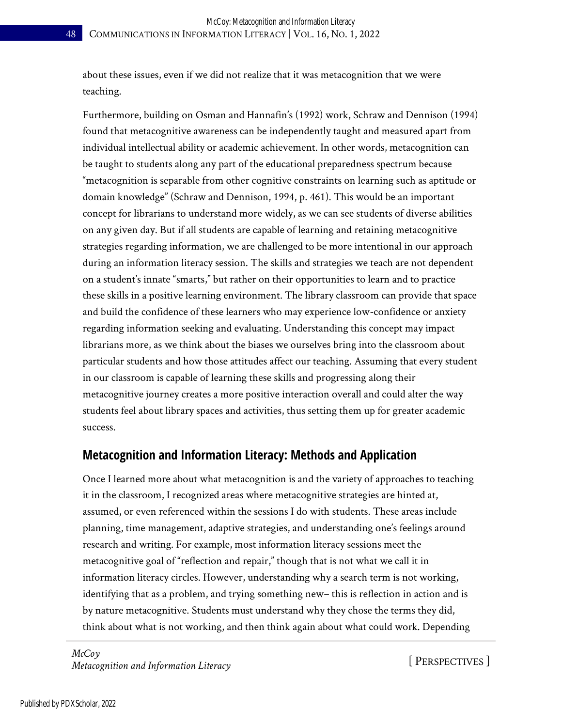about these issues, even if we did not realize that it was metacognition that we were teaching.

Furthermore, building on Osman and Hannafin's (1992) work, Schraw and Dennison (1994) found that metacognitive awareness can be independently taught and measured apart from individual intellectual ability or academic achievement. In other words, metacognition can be taught to students along any part of the educational preparedness spectrum because "metacognition is separable from other cognitive constraints on learning such as aptitude or domain knowledge" (Schraw and Dennison, 1994, p. 461). This would be an important concept for librarians to understand more widely, as we can see students of diverse abilities on any given day. But if all students are capable of learning and retaining metacognitive strategies regarding information, we are challenged to be more intentional in our approach during an information literacy session. The skills and strategies we teach are not dependent on a student's innate "smarts," but rather on their opportunities to learn and to practice these skills in a positive learning environment. The library classroom can provide that space and build the confidence of these learners who may experience low-confidence or anxiety regarding information seeking and evaluating. Understanding this concept may impact librarians more, as we think about the biases we ourselves bring into the classroom about particular students and how those attitudes affect our teaching. Assuming that every student in our classroom is capable of learning these skills and progressing along their metacognitive journey creates a more positive interaction overall and could alter the way students feel about library spaces and activities, thus setting them up for greater academic success.

#### **Metacognition and Information Literacy: Methods and Application**

Once I learned more about what metacognition is and the variety of approaches to teaching it in the classroom, I recognized areas where metacognitive strategies are hinted at, assumed, or even referenced within the sessions I do with students. These areas include planning, time management, adaptive strategies, and understanding one's feelings around research and writing. For example, most information literacy sessions meet the metacognitive goal of "reflection and repair," though that is not what we call it in information literacy circles. However, understanding why a search term is not working, identifying that as a problem, and trying something new– this is reflection in action and is by nature metacognitive. Students must understand why they chose the terms they did, think about what is not working, and then think again about what could work. Depending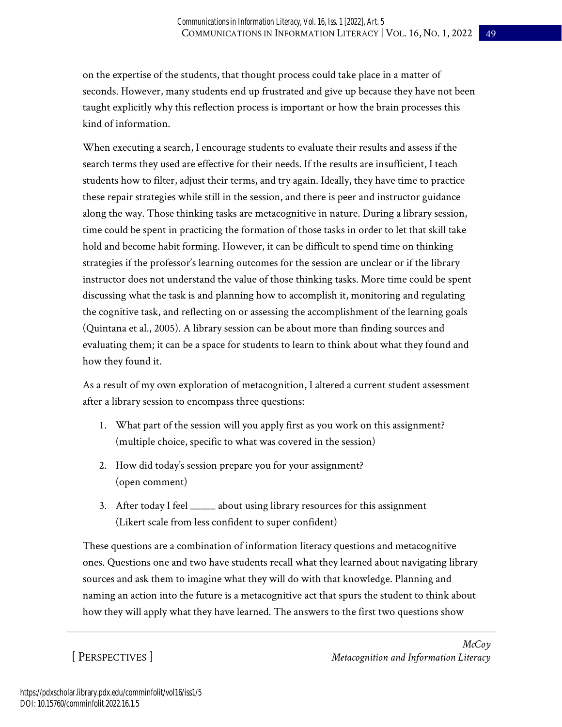on the expertise of the students, that thought process could take place in a matter of seconds. However, many students end up frustrated and give up because they have not been taught explicitly why this reflection process is important or how the brain processes this kind of information.

When executing a search, I encourage students to evaluate their results and assess if the search terms they used are effective for their needs. If the results are insufficient, I teach students how to filter, adjust their terms, and try again. Ideally, they have time to practice these repair strategies while still in the session, and there is peer and instructor guidance along the way. Those thinking tasks are metacognitive in nature. During a library session, time could be spent in practicing the formation of those tasks in order to let that skill take hold and become habit forming. However, it can be difficult to spend time on thinking strategies if the professor's learning outcomes for the session are unclear or if the library instructor does not understand the value of those thinking tasks. More time could be spent discussing what the task is and planning how to accomplish it, monitoring and regulating the cognitive task, and reflecting on or assessing the accomplishment of the learning goals (Quintana et al., 2005). A library session can be about more than finding sources and evaluating them; it can be a space for students to learn to think about what they found and how they found it.

As a result of my own exploration of metacognition, I altered a current student assessment after a library session to encompass three questions:

- 1. What part of the session will you apply first as you work on this assignment? (multiple choice, specific to what was covered in the session)
- 2. How did today's session prepare you for your assignment? (open comment)
- 3. After today I feel \_\_\_\_\_ about using library resources for this assignment (Likert scale from less confident to super confident)

These questions are a combination of information literacy questions and metacognitive ones. Questions one and two have students recall what they learned about navigating library sources and ask them to imagine what they will do with that knowledge. Planning and naming an action into the future is a metacognitive act that spurs the student to think about how they will apply what they have learned. The answers to the first two questions show

[ PERSPECTIVES ]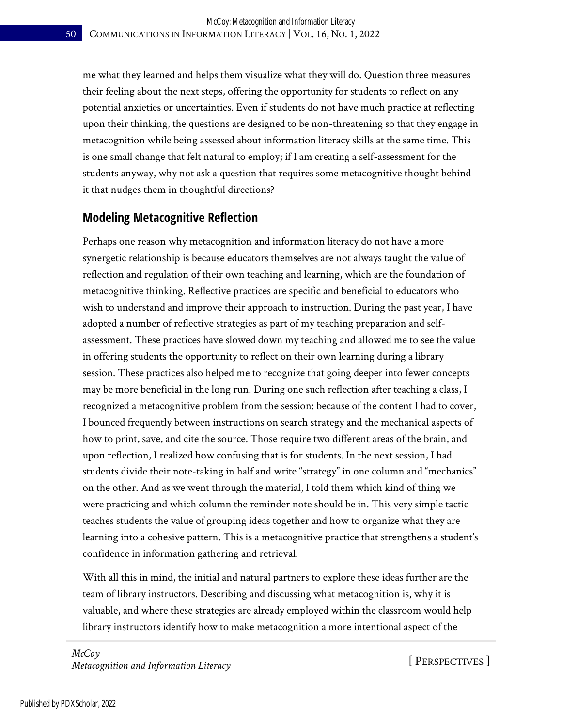me what they learned and helps them visualize what they will do. Question three measures their feeling about the next steps, offering the opportunity for students to reflect on any potential anxieties or uncertainties. Even if students do not have much practice at reflecting upon their thinking, the questions are designed to be non-threatening so that they engage in metacognition while being assessed about information literacy skills at the same time. This is one small change that felt natural to employ; if I am creating a self-assessment for the students anyway, why not ask a question that requires some metacognitive thought behind it that nudges them in thoughtful directions?

#### **Modeling Metacognitive Reflection**

Perhaps one reason why metacognition and information literacy do not have a more synergetic relationship is because educators themselves are not always taught the value of reflection and regulation of their own teaching and learning, which are the foundation of metacognitive thinking. Reflective practices are specific and beneficial to educators who wish to understand and improve their approach to instruction. During the past year, I have adopted a number of reflective strategies as part of my teaching preparation and selfassessment. These practices have slowed down my teaching and allowed me to see the value in offering students the opportunity to reflect on their own learning during a library session. These practices also helped me to recognize that going deeper into fewer concepts may be more beneficial in the long run. During one such reflection after teaching a class, I recognized a metacognitive problem from the session: because of the content I had to cover, I bounced frequently between instructions on search strategy and the mechanical aspects of how to print, save, and cite the source. Those require two different areas of the brain, and upon reflection, I realized how confusing that is for students. In the next session, I had students divide their note-taking in half and write "strategy" in one column and "mechanics" on the other. And as we went through the material, I told them which kind of thing we were practicing and which column the reminder note should be in. This very simple tactic teaches students the value of grouping ideas together and how to organize what they are learning into a cohesive pattern. This is a metacognitive practice that strengthens a student's confidence in information gathering and retrieval.

With all this in mind, the initial and natural partners to explore these ideas further are the team of library instructors. Describing and discussing what metacognition is, why it is valuable, and where these strategies are already employed within the classroom would help library instructors identify how to make metacognition a more intentional aspect of the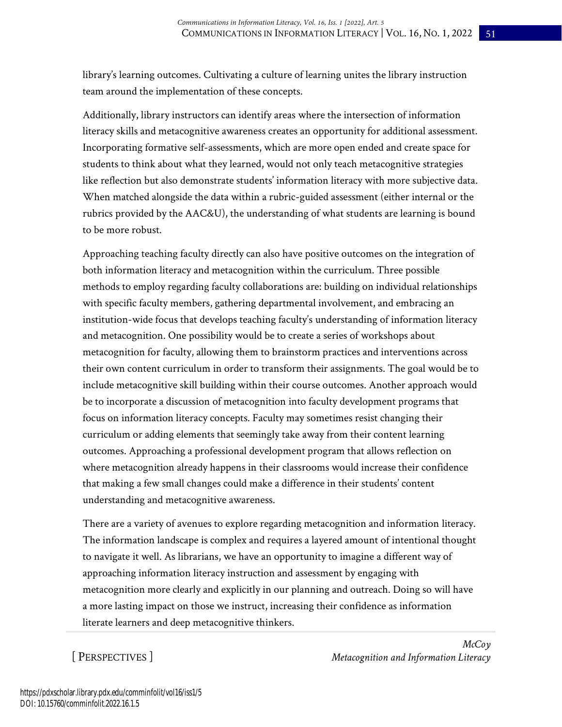library's learning outcomes. Cultivating a culture of learning unites the library instruction team around the implementation of these concepts.

Additionally, library instructors can identify areas where the intersection of information literacy skills and metacognitive awareness creates an opportunity for additional assessment. Incorporating formative self-assessments, which are more open ended and create space for students to think about what they learned, would not only teach metacognitive strategies like reflection but also demonstrate students' information literacy with more subjective data. When matched alongside the data within a rubric-guided assessment (either internal or the rubrics provided by the AAC&U), the understanding of what students are learning is bound to be more robust.

Approaching teaching faculty directly can also have positive outcomes on the integration of both information literacy and metacognition within the curriculum. Three possible methods to employ regarding faculty collaborations are: building on individual relationships with specific faculty members, gathering departmental involvement, and embracing an institution-wide focus that develops teaching faculty's understanding of information literacy and metacognition. One possibility would be to create a series of workshops about metacognition for faculty, allowing them to brainstorm practices and interventions across their own content curriculum in order to transform their assignments. The goal would be to include metacognitive skill building within their course outcomes. Another approach would be to incorporate a discussion of metacognition into faculty development programs that focus on information literacy concepts. Faculty may sometimes resist changing their curriculum or adding elements that seemingly take away from their content learning outcomes. Approaching a professional development program that allows reflection on where metacognition already happens in their classrooms would increase their confidence that making a few small changes could make a difference in their students' content understanding and metacognitive awareness.

There are a variety of avenues to explore regarding metacognition and information literacy. The information landscape is complex and requires a layered amount of intentional thought to navigate it well. As librarians, we have an opportunity to imagine a different way of approaching information literacy instruction and assessment by engaging with metacognition more clearly and explicitly in our planning and outreach. Doing so will have a more lasting impact on those we instruct, increasing their confidence as information literate learners and deep metacognitive thinkers.

[ PERSPECTIVES ]

*McCoy Metacognition and Information Literacy*